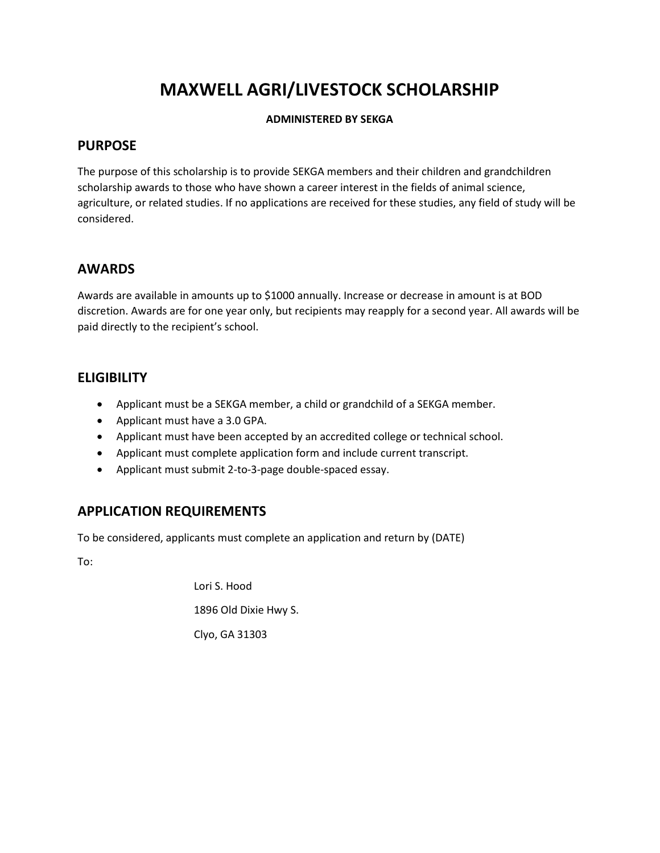# MAXWELL AGRI/LIVESTOCK SCHOLARSHIP

#### ADMINISTERED BY SEKGA

#### PURPOSE

The purpose of this scholarship is to provide SEKGA members and their children and grandchildren scholarship awards to those who have shown a career interest in the fields of animal science, agriculture, or related studies. If no applications are received for these studies, any field of study will be considered.

#### AWARDS

Awards are available in amounts up to \$1000 annually. Increase or decrease in amount is at BOD discretion. Awards are for one year only, but recipients may reapply for a second year. All awards will be paid directly to the recipient's school.

### **ELIGIBILITY**

- Applicant must be a SEKGA member, a child or grandchild of a SEKGA member.
- Applicant must have a 3.0 GPA.
- Applicant must have been accepted by an accredited college or technical school.
- Applicant must complete application form and include current transcript.
- Applicant must submit 2-to-3-page double-spaced essay.

### APPLICATION REQUIREMENTS

To be considered, applicants must complete an application and return by (DATE)

To:

Lori S. Hood 1896 Old Dixie Hwy S. Clyo, GA 31303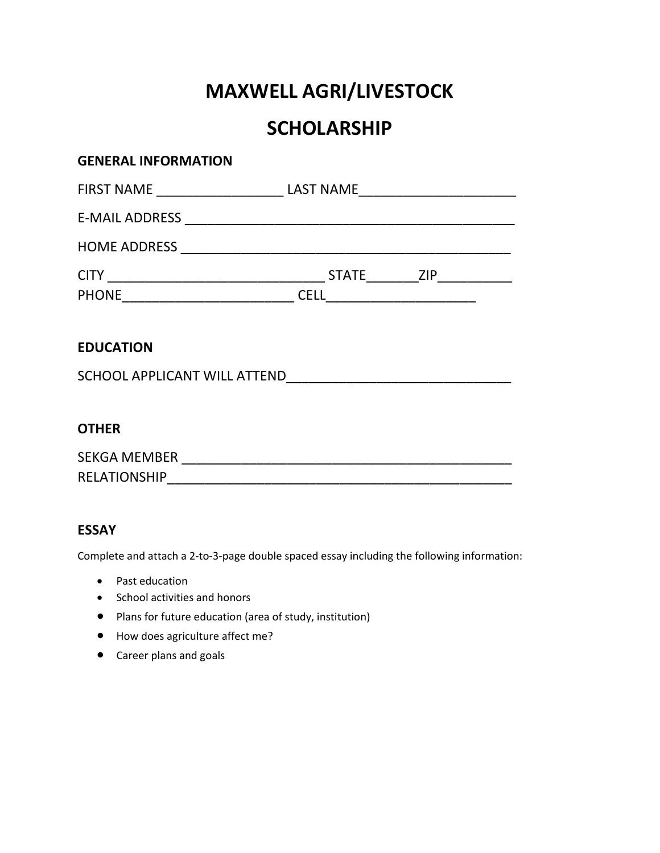# MAXWELL AGRI/LIVESTOCK

# **SCHOLARSHIP**

| <b>GENERAL INFORMATION</b>                                                       |  |
|----------------------------------------------------------------------------------|--|
| FIRST NAME ______________________________LAST NAME______________________________ |  |
|                                                                                  |  |
|                                                                                  |  |
|                                                                                  |  |
|                                                                                  |  |
|                                                                                  |  |
| <b>EDUCATION</b>                                                                 |  |
|                                                                                  |  |
|                                                                                  |  |
| <b>OTHER</b>                                                                     |  |
|                                                                                  |  |
|                                                                                  |  |

### ESSAY

Complete and attach a 2-to-3-page double spaced essay including the following information:

- Past education
- School activities and honors
- Plans for future education (area of study, institution)
- How does agriculture affect me?
- Career plans and goals